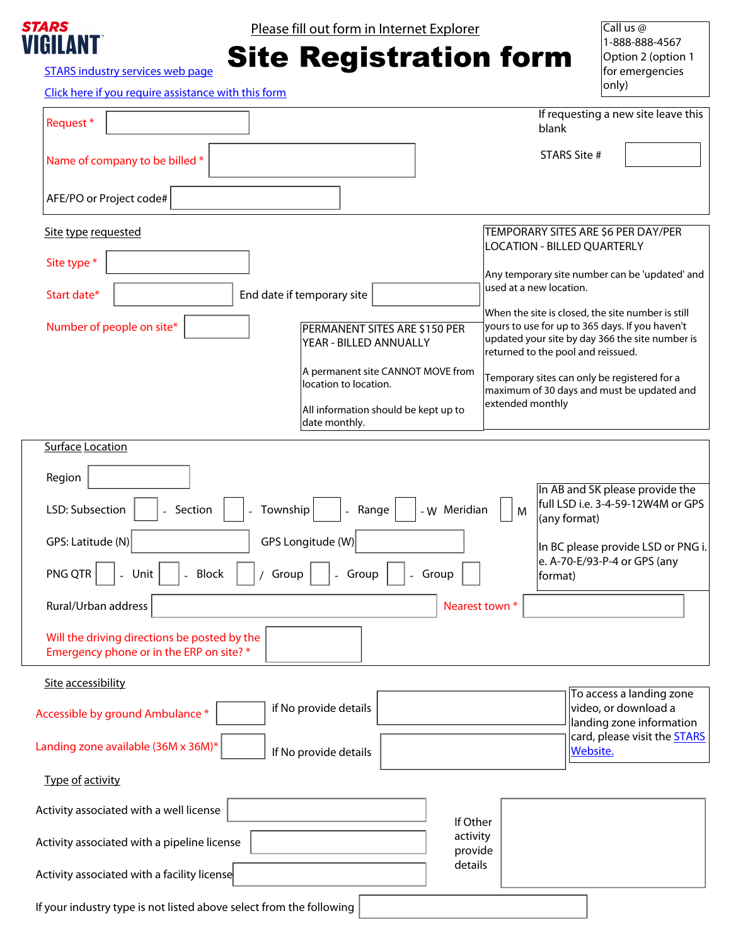

Please fill out form in Internet Explorer

## Site Registration form

Call us @ 1-888-888-4567 Option 2 (option 1 for emergencies  $|$ only)

[STARS industry services web page](https://stars.ca/industry-services/remote-site-registration/)

[Click here if you require assistance with this form](mailto:industry@stars.ca?subject=I%20would%20like%20assistance%20completing%20the%20site%20registration%20form)

| Request*                                                                                 | If requesting a new site leave this<br>blank                                                                                             |  |  |
|------------------------------------------------------------------------------------------|------------------------------------------------------------------------------------------------------------------------------------------|--|--|
| Name of company to be billed *                                                           | <b>STARS Site #</b>                                                                                                                      |  |  |
| AFE/PO or Project code#                                                                  |                                                                                                                                          |  |  |
| Site type requested                                                                      | TEMPORARY SITES ARE \$6 PER DAY/PER<br><b>LOCATION - BILLED QUARTERLY</b>                                                                |  |  |
| Site type *                                                                              | Any temporary site number can be 'updated' and<br>used at a new location.                                                                |  |  |
| End date if temporary site<br>Start date*                                                | When the site is closed, the site number is still                                                                                        |  |  |
| Number of people on site*<br>PERMANENT SITES ARE \$150 PER<br>YEAR - BILLED ANNUALLY     | yours to use for up to 365 days. If you haven't<br>updated your site by day 366 the site number is<br>returned to the pool and reissued. |  |  |
| location to location.                                                                    | A permanent site CANNOT MOVE from<br>Temporary sites can only be registered for a<br>maximum of 30 days and must be updated and          |  |  |
| All information should be kept up to<br>date monthly.                                    | extended monthly                                                                                                                         |  |  |
| <b>Surface Location</b>                                                                  |                                                                                                                                          |  |  |
| Region                                                                                   |                                                                                                                                          |  |  |
| LSD: Subsection<br>- Section<br>Township<br>- Range<br>$\overline{\phantom{a}}$          | In AB and SK please provide the<br>full LSD i.e. 3-4-59-12W4M or GPS<br>- W Meridian<br>M<br>(any format)                                |  |  |
| GPS: Latitude (N)<br>GPS Longitude (W)<br>In BC please provide LSD or PNG i.             |                                                                                                                                          |  |  |
| PNG QTR<br>- Unit<br><b>Block</b><br>Group<br>- Group                                    | e. A-70-E/93-P-4 or GPS (any<br>- Group<br>format)                                                                                       |  |  |
| Rural/Urban address                                                                      | Nearest town *                                                                                                                           |  |  |
| Will the driving directions be posted by the<br>Emergency phone or in the ERP on site? * |                                                                                                                                          |  |  |
| Site accessibility                                                                       |                                                                                                                                          |  |  |
| if No provide details<br>Accessible by ground Ambulance *                                | To access a landing zone<br>video, or download a<br>landing zone information                                                             |  |  |
| Landing zone available (36M x 36M)*<br>If No provide details                             | card, please visit the <b>STARS</b><br><b>Website.</b>                                                                                   |  |  |
| Type of activity                                                                         |                                                                                                                                          |  |  |
| Activity associated with a well license                                                  | If Other                                                                                                                                 |  |  |
| Activity associated with a pipeline license                                              | activity<br>provide                                                                                                                      |  |  |
| Activity associated with a facility license                                              | details<br>$\blacktriangledown$                                                                                                          |  |  |
| If your industry type is not listed above select from the following                      | $\blacktriangledown$                                                                                                                     |  |  |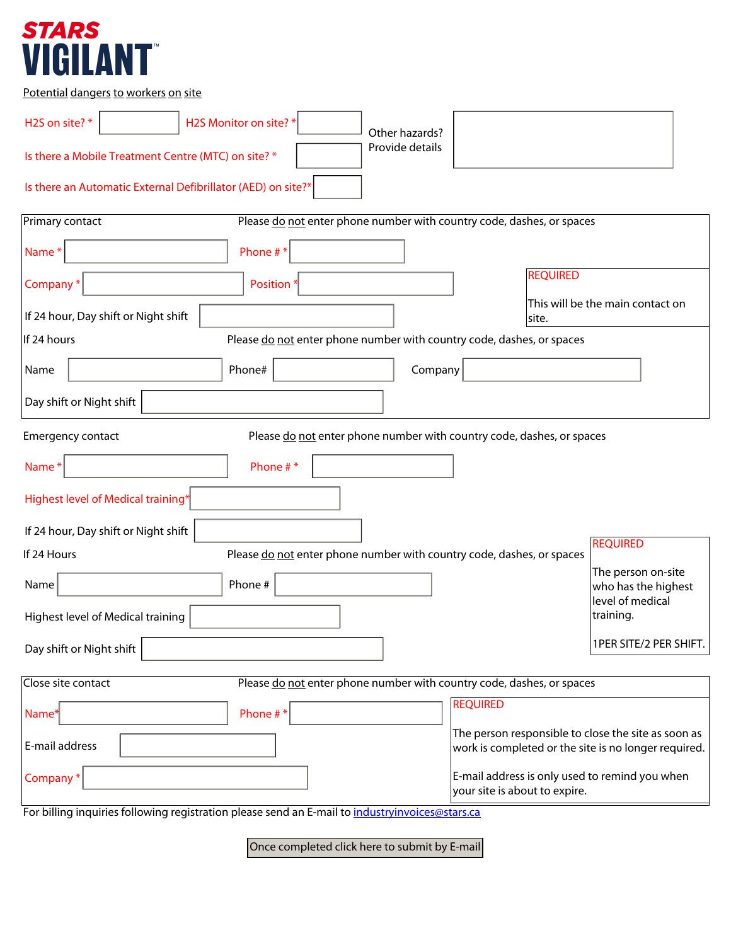## *STARS<br>VIGILANT*

Potential dangers to workers on site

| H2S Monitor on site? *<br>H2S on site?*<br>$\blacktriangledown$<br>Other hazards?               |                                                                                                             |                                           |
|-------------------------------------------------------------------------------------------------|-------------------------------------------------------------------------------------------------------------|-------------------------------------------|
| Provide details<br>Is there a Mobile Treatment Centre (MTC) on site? *                          |                                                                                                             |                                           |
| Is there an Automatic External Defibrillator (AED) on site?*                                    |                                                                                                             |                                           |
| Primary contact<br>Please do not enter phone number with country code, dashes, or spaces        |                                                                                                             |                                           |
| Phone #*<br>Name*                                                                               |                                                                                                             |                                           |
| Company*<br>Position <sup>®</sup>                                                               | <b>REQUIRED</b>                                                                                             |                                           |
| If 24 hour, Day shift or Night shift                                                            | site.                                                                                                       | This will be the main contact on          |
| If 24 hours<br>Please do not enter phone number with country code, dashes, or spaces            |                                                                                                             |                                           |
| Phone#<br>Name<br>Company                                                                       |                                                                                                             |                                           |
| Day shift or Night shift<br>$\blacktriangledown$                                                |                                                                                                             |                                           |
| Please do not enter phone number with country code, dashes, or spaces<br>Emergency contact      |                                                                                                             |                                           |
| Phone #*<br>Name*                                                                               |                                                                                                             |                                           |
| Highest level of Medical training <sup>*</sup>                                                  |                                                                                                             |                                           |
| If 24 hour, Day shift or Night shift                                                            |                                                                                                             |                                           |
| Please do not enter phone number with country code, dashes, or spaces<br>If 24 Hours            |                                                                                                             | <b>REQUIRED</b>                           |
| Phone #<br>Name                                                                                 |                                                                                                             | The person on-site<br>who has the highest |
| Highest level of Medical training                                                               |                                                                                                             | level of medical<br>training.             |
| Day shift or Night shift<br>$\blacktriangledown$                                                |                                                                                                             | 1PER SITE/2 PER SHIFT.                    |
| Please do not enter phone number with country code, dashes, or spaces<br>Close site contact     |                                                                                                             |                                           |
| Phone #*<br>Name*                                                                               | <b>REQUIRED</b>                                                                                             |                                           |
| E-mail address                                                                                  | The person responsible to close the site as soon as<br>work is completed or the site is no longer required. |                                           |
| Company*                                                                                        | E-mail address is only used to remind you when<br>your site is about to expire.                             |                                           |
| For billing inquiries following registration please send an E-mail to industryinvoices@stars.ca |                                                                                                             |                                           |

Once completed click here to submit by E-mail